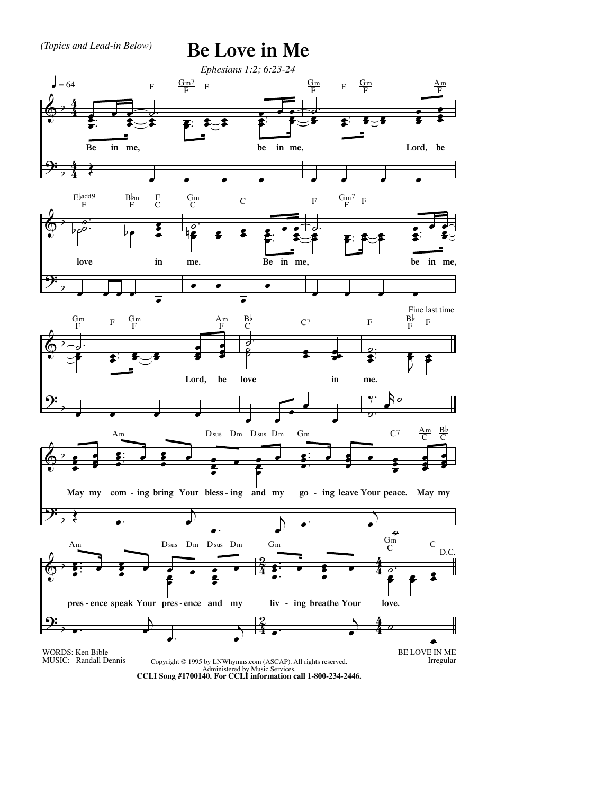

Administered by Music Services. **CCLI Song #1700140. For CCLI information call 1-800-234-2446.**